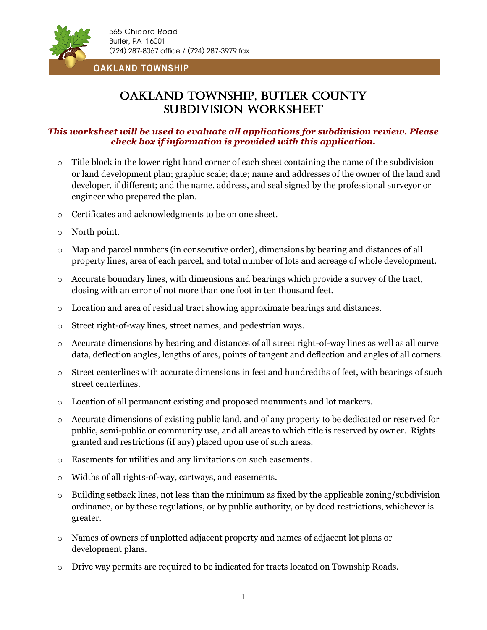

**OAKLAND TOWNSHIP**

# Oakland Township, Butler County Subdivision worksheet

## *This worksheet will be used to evaluate all applications for subdivision review. Please check box if information is provided with this application.*

- $\circ$  Title block in the lower right hand corner of each sheet containing the name of the subdivision or land development plan; graphic scale; date; name and addresses of the owner of the land and developer, if different; and the name, address, and seal signed by the professional surveyor or engineer who prepared the plan.
- o Certificates and acknowledgments to be on one sheet.
- o North point.
- o Map and parcel numbers (in consecutive order), dimensions by bearing and distances of all property lines, area of each parcel, and total number of lots and acreage of whole development.
- $\circ$  Accurate boundary lines, with dimensions and bearings which provide a survey of the tract, closing with an error of not more than one foot in ten thousand feet.
- o Location and area of residual tract showing approximate bearings and distances.
- o Street right-of-way lines, street names, and pedestrian ways.
- o Accurate dimensions by bearing and distances of all street right-of-way lines as well as all curve data, deflection angles, lengths of arcs, points of tangent and deflection and angles of all corners.
- $\circ$  Street centerlines with accurate dimensions in feet and hundredths of feet, with bearings of such street centerlines.
- o Location of all permanent existing and proposed monuments and lot markers.
- o Accurate dimensions of existing public land, and of any property to be dedicated or reserved for public, semi-public or community use, and all areas to which title is reserved by owner. Rights granted and restrictions (if any) placed upon use of such areas.
- o Easements for utilities and any limitations on such easements.
- o Widths of all rights-of-way, cartways, and easements.
- $\circ$  Building setback lines, not less than the minimum as fixed by the applicable zoning/subdivision ordinance, or by these regulations, or by public authority, or by deed restrictions, whichever is greater.
- o Names of owners of unplotted adjacent property and names of adjacent lot plans or development plans.
- o Drive way permits are required to be indicated for tracts located on Township Roads.